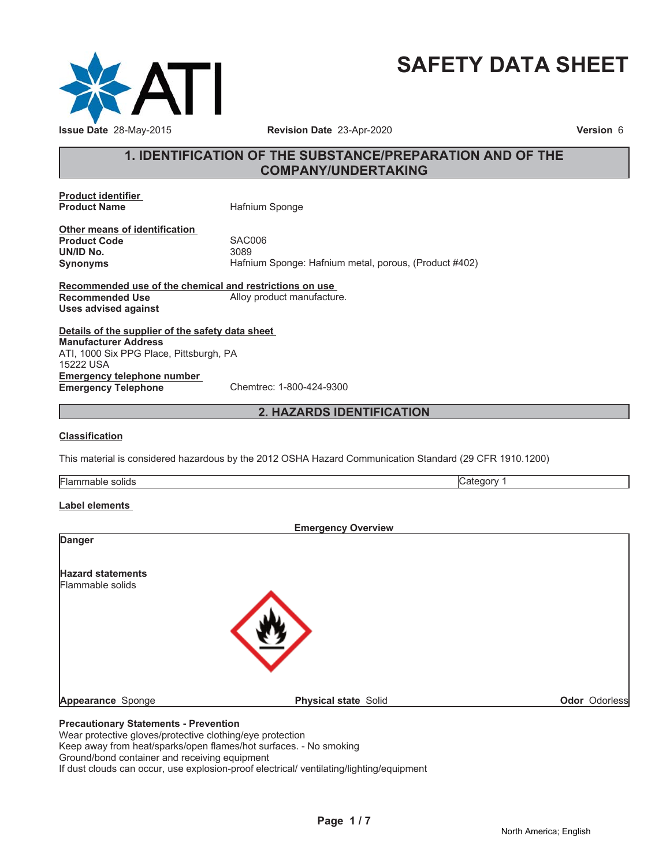

# **SAFETY DATA SHEET**

### **1. IDENTIFICATION OF THE SUBSTANCE/PREPARATION AND OF THE COMPANY/UNDERTAKING**

**Product identifier**

**Hafnium Sponge** 

**Other means of identification Product Code 5AC006**<br> **UN/ID No.** 3089 **UN/ID No.** 

**Synonyms** Hafnium Sponge: Hafnium metal, porous, (Product #402)

**Recommended use of the chemical and restrictions on use Recommended Use** Alloy product manufacture. **Uses advised against**

**Details of the supplier of the safety data sheet Emergency telephone number Emergency Telephone** Chemtrec: 1-800-424-9300 **Manufacturer Address** ATI, 1000 Six PPG Place, Pittsburgh, PA 15222 USA

#### **2. HAZARDS IDENTIFICATION**

#### **Classification**

This material is considered hazardous by the 2012 OSHA Hazard Communication Standard (29 CFR 1910.1200)

| . .<br>- -<br>- 10<br>olia:<br>-iai<br>11 JI |  |
|----------------------------------------------|--|
|                                              |  |

#### **Label elements**

|                                                                 | <b>Emergency Overview</b>   |               |
|-----------------------------------------------------------------|-----------------------------|---------------|
| <b>Danger</b>                                                   |                             |               |
| <b>Hazard statements</b>                                        |                             |               |
| Flammable solids                                                |                             |               |
|                                                                 |                             |               |
|                                                                 |                             |               |
|                                                                 |                             |               |
|                                                                 |                             |               |
| Appearance Sponge                                               | <b>Physical state Solid</b> | Odor Odorless |
| <b>Precautionary Statements - Prevention</b>                    |                             |               |
| Magnusata stira selaras lupata stira slatelia elara pueda stian |                             |               |

Wear protective gloves/protective clothing/eye protection Keep away from heat/sparks/open flames/hot surfaces. - No smoking Ground/bond container and receiving equipment

If dust clouds can occur, use explosion-proof electrical/ ventilating/lighting/equipment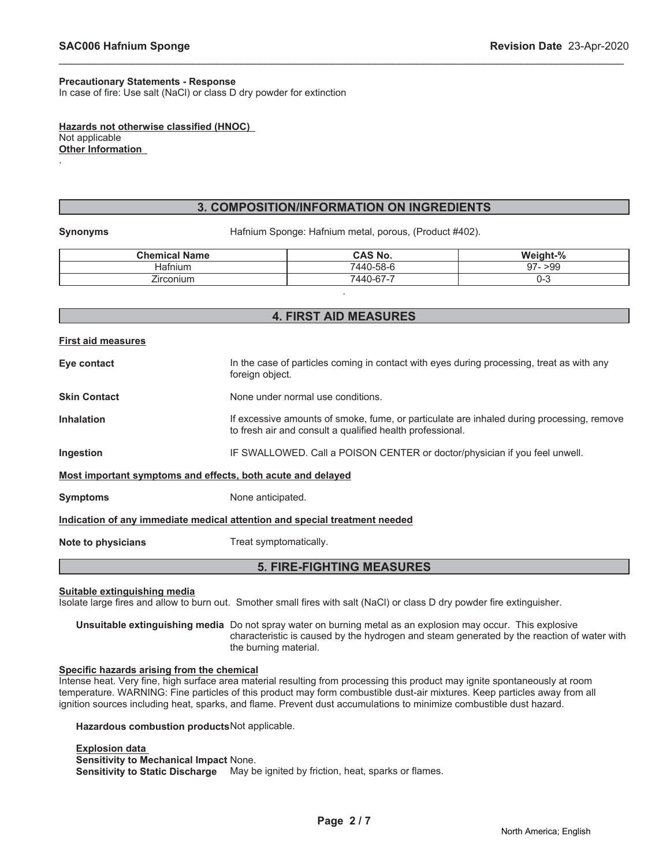#### **Precautionary Statements - Response**

In case of fire: Use salt (NaCl) or class D dry powder for extinction

**Hazards not otherwise classified (HNOC)** Not applicable **Other Information**

#### **3. COMPOSITION/INFORMATION ON INGREDIENTS**

\_\_\_\_\_\_\_\_\_\_\_\_\_\_\_\_\_\_\_\_\_\_\_\_\_\_\_\_\_\_\_\_\_\_\_\_\_\_\_\_\_\_\_\_\_\_\_\_\_\_\_\_\_\_\_\_\_\_\_\_\_\_\_\_\_\_\_\_\_\_\_\_\_\_\_\_\_\_\_\_\_\_\_\_\_\_\_\_\_\_\_\_\_

.

**Synonyms** Hafnium Sponge: Hafnium metal, porous, (Product #402).

| <b>Chemical Name</b> | <b>CAS No.</b> | Weight-%  |
|----------------------|----------------|-----------|
| Hafnium              | 7440-58-6      | $97 - 99$ |
| –<br>Zirconium       | 7440-67-7      | U-C       |
|                      |                |           |

#### **4. FIRST AID MEASURES**

| <b>First aid measures</b>                                                  |                                                                                                                                                        |  |  |
|----------------------------------------------------------------------------|--------------------------------------------------------------------------------------------------------------------------------------------------------|--|--|
| Eye contact                                                                | In the case of particles coming in contact with eyes during processing, treat as with any<br>foreign object.                                           |  |  |
| <b>Skin Contact</b>                                                        | None under normal use conditions.                                                                                                                      |  |  |
| <b>Inhalation</b>                                                          | If excessive amounts of smoke, fume, or particulate are inhaled during processing, remove<br>to fresh air and consult a qualified health professional. |  |  |
| Ingestion                                                                  | IF SWALLOWED. Call a POISON CENTER or doctor/physician if you feel unwell.                                                                             |  |  |
| Most important symptoms and effects, both acute and delayed                |                                                                                                                                                        |  |  |
| <b>Symptoms</b>                                                            | None anticipated.                                                                                                                                      |  |  |
| Indication of any immediate medical attention and special treatment needed |                                                                                                                                                        |  |  |
| Note to physicians                                                         | Treat symptomatically.                                                                                                                                 |  |  |
| <b>5. FIRE-FIGHTING MEASURES</b>                                           |                                                                                                                                                        |  |  |

**Suitable extinguishing media**

Isolate large fires and allow to burn out. Smother small fires with salt (NaCl) or class D dry powder fire extinguisher.

**Unsuitable extinguishing media** Do not spray water on burning metal as an explosion may occur. This explosive characteristic is caused by the hydrogen and steam generated by the reaction of water with the burning material.

#### **Specific hazards arising from the chemical**

Intense heat. Very fine, high surface area material resulting from processing this product may ignite spontaneously at room temperature. WARNING: Fine particles of this product may form combustible dust-air mixtures. Keep particles away from all ignition sources including heat, sparks, and flame. Prevent dust accumulations to minimize combustible dust hazard.

**Hazardous combustion products**Not applicable.

**Explosion data Sensitivity to Mechanical Impact** None. **Sensitivity to Static Discharge** May be ignited by friction, heat, sparks or flames.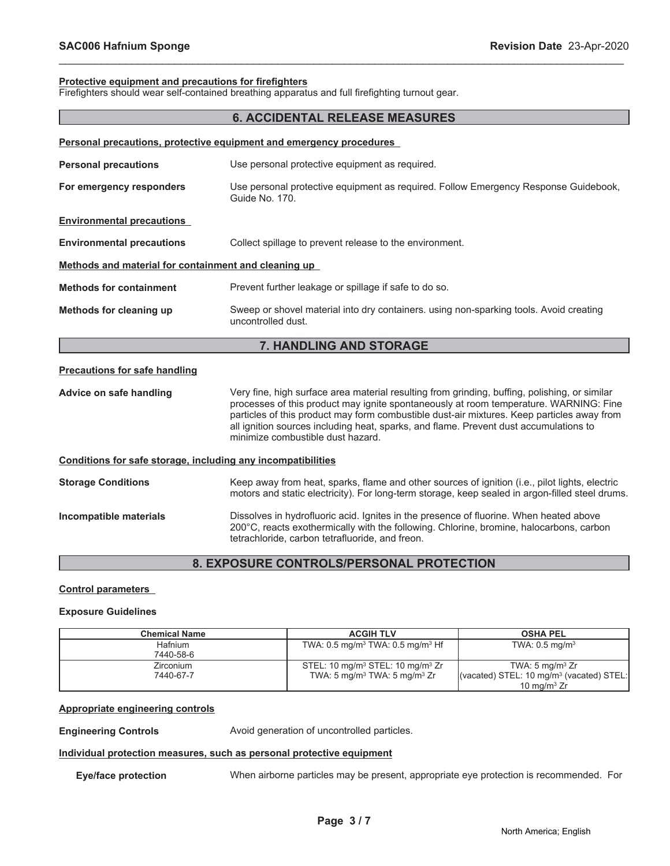$\Box$ 

## **Protective equipment and precautions for firefighters**

Firefighters should wear self-contained breathing apparatus and full firefighting turnout gear.

| Firengriters should wear self-contained breathing apparatus and full inengriting turnout gear. |                                                                                                                                                                                                                                                                                                                                                                                                                    |  |  |
|------------------------------------------------------------------------------------------------|--------------------------------------------------------------------------------------------------------------------------------------------------------------------------------------------------------------------------------------------------------------------------------------------------------------------------------------------------------------------------------------------------------------------|--|--|
|                                                                                                | <b>6. ACCIDENTAL RELEASE MEASURES</b>                                                                                                                                                                                                                                                                                                                                                                              |  |  |
|                                                                                                | Personal precautions, protective equipment and emergency procedures                                                                                                                                                                                                                                                                                                                                                |  |  |
| <b>Personal precautions</b>                                                                    | Use personal protective equipment as required.                                                                                                                                                                                                                                                                                                                                                                     |  |  |
| For emergency responders                                                                       | Use personal protective equipment as required. Follow Emergency Response Guidebook,<br>Guide No. 170.                                                                                                                                                                                                                                                                                                              |  |  |
| <b>Environmental precautions</b>                                                               |                                                                                                                                                                                                                                                                                                                                                                                                                    |  |  |
| <b>Environmental precautions</b>                                                               | Collect spillage to prevent release to the environment.                                                                                                                                                                                                                                                                                                                                                            |  |  |
| Methods and material for containment and cleaning up                                           |                                                                                                                                                                                                                                                                                                                                                                                                                    |  |  |
| <b>Methods for containment</b>                                                                 | Prevent further leakage or spillage if safe to do so.                                                                                                                                                                                                                                                                                                                                                              |  |  |
| Methods for cleaning up                                                                        | Sweep or shovel material into dry containers. using non-sparking tools. Avoid creating<br>uncontrolled dust.                                                                                                                                                                                                                                                                                                       |  |  |
|                                                                                                | 7. HANDLING AND STORAGE                                                                                                                                                                                                                                                                                                                                                                                            |  |  |
| <b>Precautions for safe handling</b>                                                           |                                                                                                                                                                                                                                                                                                                                                                                                                    |  |  |
| Advice on safe handling                                                                        | Very fine, high surface area material resulting from grinding, buffing, polishing, or similar<br>processes of this product may ignite spontaneously at room temperature. WARNING: Fine<br>particles of this product may form combustible dust-air mixtures. Keep particles away from<br>all ignition sources including heat, sparks, and flame. Prevent dust accumulations to<br>minimize combustible dust hazard. |  |  |
| Conditions for safe storage, including any incompatibilities                                   |                                                                                                                                                                                                                                                                                                                                                                                                                    |  |  |
| <b>Storage Conditions</b>                                                                      | Keep away from heat, sparks, flame and other sources of ignition (i.e., pilot lights, electric<br>motors and static electricity). For long-term storage, keep sealed in argon-filled steel drums.                                                                                                                                                                                                                  |  |  |
| Incompatible materials                                                                         | Dissolves in hydrofluoric acid. Ignites in the presence of fluorine. When heated above<br>200°C, reacts exothermically with the following. Chlorine, bromine, halocarbons, carbon<br>tetrachloride, carbon tetrafluoride, and freon.                                                                                                                                                                               |  |  |

\_\_\_\_\_\_\_\_\_\_\_\_\_\_\_\_\_\_\_\_\_\_\_\_\_\_\_\_\_\_\_\_\_\_\_\_\_\_\_\_\_\_\_\_\_\_\_\_\_\_\_\_\_\_\_\_\_\_\_\_\_\_\_\_\_\_\_\_\_\_\_\_\_\_\_\_\_\_\_\_\_\_\_\_\_\_\_\_\_\_\_\_\_

#### **8. EXPOSURE CONTROLS/PERSONAL PROTECTION**

#### **Control parameters**

#### **Exposure Guidelines**

| <b>Chemical Name</b> | <b>ACGIH TLV</b>                                             | <b>OSHA PEL</b>                                      |
|----------------------|--------------------------------------------------------------|------------------------------------------------------|
| <b>Hafnium</b>       | TWA: $0.5 \,\mathrm{mg/m^3}$ TWA: $0.5 \,\mathrm{mg/m^3}$ Hf | TWA: $0.5$ mg/m <sup>3</sup>                         |
| 7440-58-6            |                                                              |                                                      |
| Zirconium            | STEL: 10 mg/m <sup>3</sup> STEL: 10 mg/m <sup>3</sup> Zr     | TWA: 5 $mg/m3 Zr$                                    |
| 7440-67-7            | TWA: 5 mg/m <sup>3</sup> TWA: 5 mg/m <sup>3</sup> Zr         | (vacated) STEL: 10 mg/m <sup>3</sup> (vacated) STEL: |
|                      |                                                              | 10 mg/m $3$ Zr                                       |

#### **Appropriate engineering controls**

**Engineering Controls Avoid generation of uncontrolled particles.** 

#### **Individual protection measures, such as personal protective equipment**

**Eye/face protection** When airborne particles may be present, appropriate eye protection is recommended. For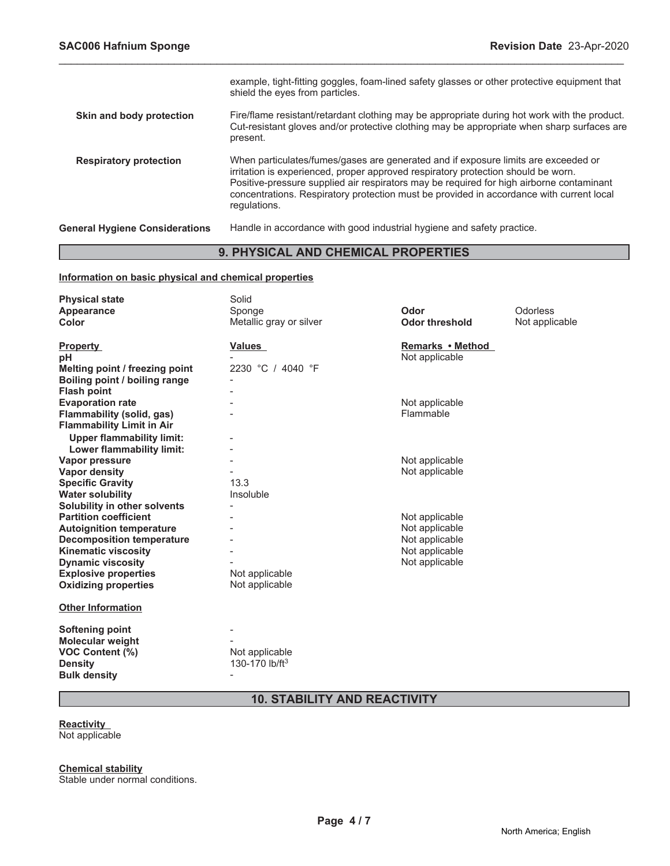|                                       | example, tight-fitting goggles, foam-lined safety glasses or other protective equipment that<br>shield the eyes from particles.                                                                                                                                                                                                                                                 |
|---------------------------------------|---------------------------------------------------------------------------------------------------------------------------------------------------------------------------------------------------------------------------------------------------------------------------------------------------------------------------------------------------------------------------------|
| Skin and body protection              | Fire/flame resistant/retardant clothing may be appropriate during hot work with the product.<br>Cut-resistant gloves and/or protective clothing may be appropriate when sharp surfaces are<br>present.                                                                                                                                                                          |
| <b>Respiratory protection</b>         | When particulates/fumes/gases are generated and if exposure limits are exceeded or<br>irritation is experienced, proper approved respiratory protection should be worn.<br>Positive-pressure supplied air respirators may be required for high airborne contaminant<br>concentrations. Respiratory protection must be provided in accordance with current local<br>regulations. |
| <b>General Hygiene Considerations</b> | Handle in accordance with good industrial hygiene and safety practice.                                                                                                                                                                                                                                                                                                          |

\_\_\_\_\_\_\_\_\_\_\_\_\_\_\_\_\_\_\_\_\_\_\_\_\_\_\_\_\_\_\_\_\_\_\_\_\_\_\_\_\_\_\_\_\_\_\_\_\_\_\_\_\_\_\_\_\_\_\_\_\_\_\_\_\_\_\_\_\_\_\_\_\_\_\_\_\_\_\_\_\_\_\_\_\_\_\_\_\_\_\_\_\_

#### **9. PHYSICAL AND CHEMICAL PROPERTIES**

#### **Information on basic physical and chemical properties**

| <b>Physical state</b>            | Solid                      |                       |                |
|----------------------------------|----------------------------|-----------------------|----------------|
| Appearance                       | Sponge                     | Odor                  | Odorless       |
| Color                            | Metallic gray or silver    | <b>Odor threshold</b> | Not applicable |
|                                  |                            |                       |                |
| <b>Property</b>                  | <b>Values</b>              | Remarks • Method      |                |
| рH                               |                            | Not applicable        |                |
| Melting point / freezing point   | 2230 °C / 4040 °F          |                       |                |
| Boiling point / boiling range    |                            |                       |                |
| <b>Flash point</b>               |                            |                       |                |
| <b>Evaporation rate</b>          |                            | Not applicable        |                |
| Flammability (solid, gas)        |                            | Flammable             |                |
| <b>Flammability Limit in Air</b> |                            |                       |                |
| <b>Upper flammability limit:</b> |                            |                       |                |
| Lower flammability limit:        |                            |                       |                |
| Vapor pressure                   |                            | Not applicable        |                |
| <b>Vapor density</b>             |                            | Not applicable        |                |
| <b>Specific Gravity</b>          | 13.3                       |                       |                |
| <b>Water solubility</b>          | Insoluble                  |                       |                |
| Solubility in other solvents     |                            |                       |                |
| <b>Partition coefficient</b>     |                            | Not applicable        |                |
| <b>Autoignition temperature</b>  |                            | Not applicable        |                |
| <b>Decomposition temperature</b> |                            | Not applicable        |                |
| <b>Kinematic viscosity</b>       |                            | Not applicable        |                |
| <b>Dynamic viscosity</b>         |                            | Not applicable        |                |
| <b>Explosive properties</b>      | Not applicable             |                       |                |
| <b>Oxidizing properties</b>      | Not applicable             |                       |                |
|                                  |                            |                       |                |
| <b>Other Information</b>         |                            |                       |                |
|                                  |                            |                       |                |
| Softening point                  |                            |                       |                |
| <b>Molecular weight</b>          |                            |                       |                |
| <b>VOC Content (%)</b>           | Not applicable             |                       |                |
| <b>Density</b>                   | 130-170 lb/ft <sup>3</sup> |                       |                |
| <b>Bulk density</b>              |                            |                       |                |

### **10. STABILITY AND REACTIVITY**

#### **Reactivity**

Not applicable

**Chemical stability**

Stable under normal conditions.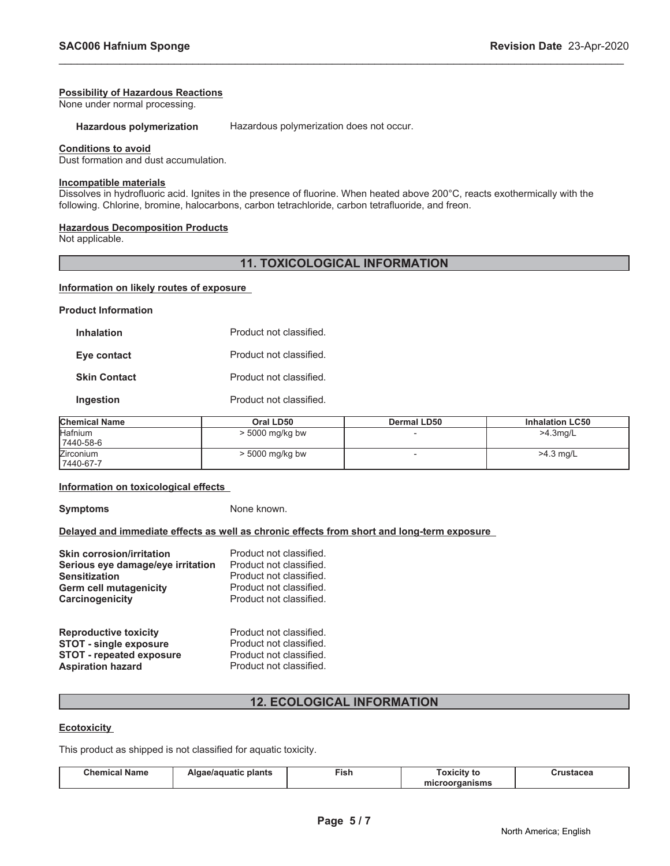#### **Possibility of Hazardous Reactions**

None under normal processing.

**Hazardous polymerization** Hazardous polymerization does not occur.

\_\_\_\_\_\_\_\_\_\_\_\_\_\_\_\_\_\_\_\_\_\_\_\_\_\_\_\_\_\_\_\_\_\_\_\_\_\_\_\_\_\_\_\_\_\_\_\_\_\_\_\_\_\_\_\_\_\_\_\_\_\_\_\_\_\_\_\_\_\_\_\_\_\_\_\_\_\_\_\_\_\_\_\_\_\_\_\_\_\_\_\_\_

#### **Conditions to avoid**

Dust formation and dust accumulation.

#### **Incompatible materials**

Dissolves in hydrofluoric acid. Ignites in the presence of fluorine. When heated above 200°C, reacts exothermically with the following. Chlorine, bromine, halocarbons, carbon tetrachloride, carbon tetrafluoride, and freon.

#### **Hazardous Decomposition Products**

Not applicable.

#### **11. TOXICOLOGICAL INFORMATION**

#### **Information on likely routes of exposure**

**Product Information**

| Product not classified.<br><b>Inhalation</b> |                         |
|----------------------------------------------|-------------------------|
| Eye contact                                  | Product not classified. |
| <b>Skin Contact</b>                          | Product not classified. |
| Ingestion                                    | Product not classified. |

| <b>Chemical Name</b> | Oral LD50         | <b>Dermal LD50</b> | <b>Inhalation LC50</b> |
|----------------------|-------------------|--------------------|------------------------|
| Hafnium<br>7440-58-6 | $>$ 5000 mg/kg bw |                    | >4.3mg/L               |
| Zirconium            | $>$ 5000 mg/kg bw |                    | $>4.3$ mg/L            |
| 7440-67-7            |                   |                    |                        |

#### **Information on toxicological effects**

**Symptoms** None known.

#### **Delayed and immediate effects as well as chronic effects from short and long-term exposure**

| <b>Skin corrosion/irritation</b>  | Product not classified. |
|-----------------------------------|-------------------------|
| Serious eye damage/eye irritation | Product not classified. |
| <b>Sensitization</b>              | Product not classified. |
| Germ cell mutagenicity            | Product not classified. |
| Carcinogenicity                   | Product not classified. |
| <b>Reproductive toxicity</b>      | Product not classified. |
| <b>STOT - single exposure</b>     | Product not classified. |
| <b>STOT - repeated exposure</b>   | Product not classified. |
| <b>Aspiration hazard</b>          | Product not classified. |

#### **12. ECOLOGICAL INFORMATION**

#### **Ecotoxicity**

This product as shipped is not classified for aquatic toxicity.

| . .<br>Chemical<br><b>Name</b> | plants<br>e/aquatic | --<br>™ish | Γoxicitv to       | eanctar and<br>твышен |
|--------------------------------|---------------------|------------|-------------------|-----------------------|
|                                |                     |            | oorganisms<br>mıo |                       |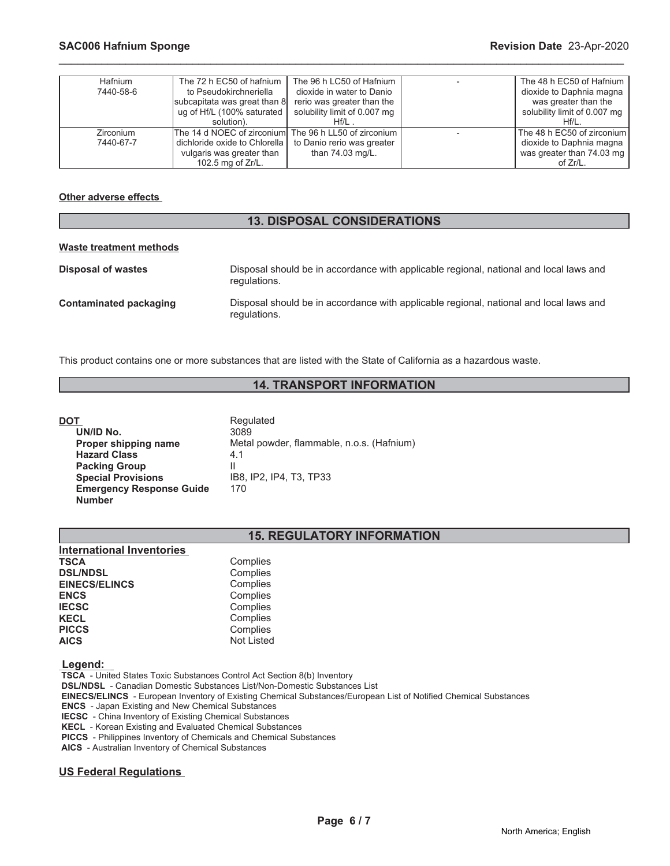| <b>Hafnium</b>   | The 72 h EC50 of hafnium        | The 96 h LC50 of Hafnium     | The 48 h EC50 of Hafnium     |
|------------------|---------------------------------|------------------------------|------------------------------|
| 7440-58-6        | to Pseudokirchneriella          | dioxide in water to Danio    | dioxide to Daphnia magna     |
|                  | subcapitata was great than 8    | rerio was greater than the   | was greater than the         |
|                  | ug of Hf/L (100% saturated      | solubility limit of 0.007 mg | solubility limit of 0.007 mg |
|                  | solution).                      | $Hf/L$ .                     | $Hf/L$ .                     |
| <b>Zirconium</b> | The 14 d NOEC of zirconium      | The 96 h LL50 of zirconium   | The 48 h EC50 of zirconium   |
| 7440-67-7        | dichloride oxide to Chlorella I | to Danio rerio was greater   | dioxide to Daphnia magna     |
|                  | vulgaris was greater than       | than 74.03 mg/L.             | was greater than 74.03 mg    |
|                  | 102.5 mg of $Zr/L$ .            |                              | of Zr/L.                     |

\_\_\_\_\_\_\_\_\_\_\_\_\_\_\_\_\_\_\_\_\_\_\_\_\_\_\_\_\_\_\_\_\_\_\_\_\_\_\_\_\_\_\_\_\_\_\_\_\_\_\_\_\_\_\_\_\_\_\_\_\_\_\_\_\_\_\_\_\_\_\_\_\_\_\_\_\_\_\_\_\_\_\_\_\_\_\_\_\_\_\_\_\_

#### **Other adverse effects**

#### **13. DISPOSAL CONSIDERATIONS**

#### **Waste treatment methods**

| Disposal of wastes     | Disposal should be in accordance with applicable regional, national and local laws and<br>regulations. |
|------------------------|--------------------------------------------------------------------------------------------------------|
| Contaminated packaging | Disposal should be in accordance with applicable regional, national and local laws and<br>regulations. |

This product contains one or more substances that are listed with the State of California as a hazardous waste.

#### **14. TRANSPORT INFORMATION**

| DOT                             | Regulated                                 |
|---------------------------------|-------------------------------------------|
| UN/ID No.                       | 3089                                      |
| Proper shipping name            | Metal powder, flammable, n.o.s. (Hafnium) |
| <b>Hazard Class</b>             | 4.1                                       |
| <b>Packing Group</b>            | Ш                                         |
| <b>Special Provisions</b>       | IB8, IP2, IP4, T3, TP33                   |
| <b>Emergency Response Guide</b> | 170                                       |
| <b>Number</b>                   |                                           |

#### **15. REGULATORY INFORMATION**

| <b>International Inventories</b> |                   |
|----------------------------------|-------------------|
| <b>TSCA</b>                      | Complies          |
| <b>DSL/NDSL</b>                  | Complies          |
| <b>EINECS/ELINCS</b>             | Complies          |
| <b>ENCS</b>                      | Complies          |
| <b>IECSC</b>                     | Complies          |
| <b>KECL</b>                      | Complies          |
| <b>PICCS</b>                     | Complies          |
| <b>AICS</b>                      | <b>Not Listed</b> |
|                                  |                   |

 **Legend:** 

 **TSCA** - United States Toxic Substances Control Act Section 8(b) Inventory

 **DSL/NDSL** - Canadian Domestic Substances List/Non-Domestic Substances List

 **EINECS/ELINCS** - European Inventory of Existing Chemical Substances/European List of Notified Chemical Substances

 **ENCS** - Japan Existing and New Chemical Substances

 **IECSC** - China Inventory of Existing Chemical Substances

 **KECL** - Korean Existing and Evaluated Chemical Substances

 **PICCS** - Philippines Inventory of Chemicals and Chemical Substances

 **AICS** - Australian Inventory of Chemical Substances

#### **US Federal Regulations**